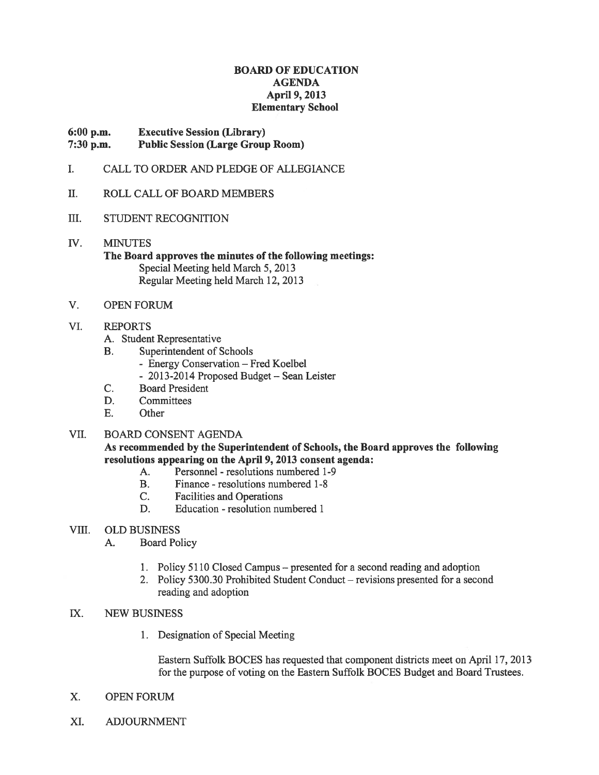#### BOARD OF EDUCATION AGENDA April 9, 2013 Elementary School

#### 6:00 p.m. Executive Session (Library) 7:30 p.m. Public Session (Large Group Room)

- I. CALL TO ORDER AND PLEDGE OF ALLEGIANCE
- II. ROLL CALL OF BOARD MEMBERS
- III. STUDENT RECOGNITION
- 1V. MINUTES The Board approves the minutes of the following meetings: Special Meeting held March 5, 2013 Regular Meeting held March 12, 2013
- V. OPEN FORUM

#### VI. REPORTS

- A. Student Representative
- B. Superintendent of Schools
	- Energy Conservation Fred Koelbel
	- 2013-2014 Proposed Budget Sean Leister
- C. Board President
- D. Committees
- E. Other

#### VII. BOARD CONSENT AGENDA

As recommended by the Superintendent of Schools, the Board approves the following resolutions appearing on the April 9, 2013 consent agenda:

- A. Personnel resolutions numbered 1-9
- B. Finance resolutions numbered 1-8
- C. Facilities and Operations
- D. Education resolution numbered 1
- VIII. OLD BUSINESS
	- A. Board Policy
		- 1. Policy 5110 Closed Campus presented for <sup>a</sup> second reading and adoption
		- 2. Policy 5300.30 Prohibited Student Conduct revisions presented for <sup>a</sup> second reading and adoption
- IX. NEW BUSINESS
	- 1. Designation of Special Meeting

Eastern Suffolk BOCES has requested that componen<sup>t</sup> districts meet on April 17, 2013 for the purpose of voting on the Eastern Suffolk BOCES Budget and Board Trustees.

- X. OPEN FORUM
- XI. ADJOURNMENT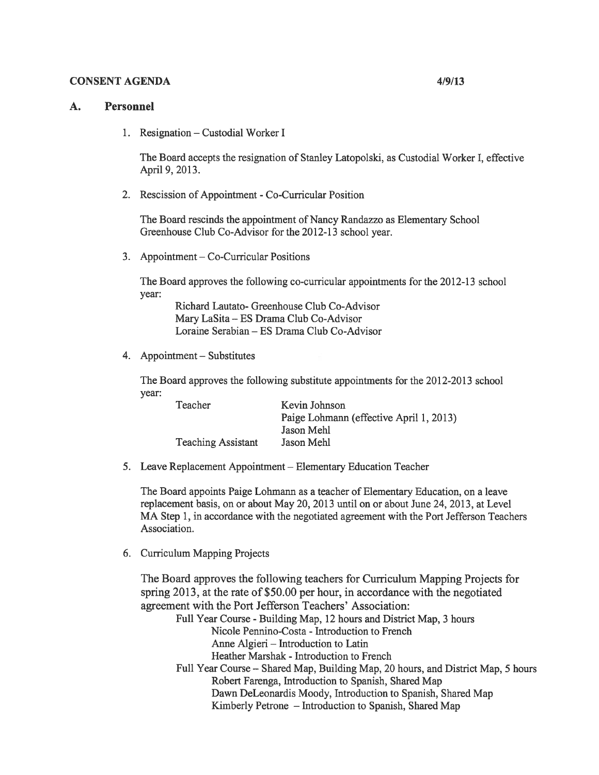#### CONSENT AGENDA 4/9/13

#### A. Personnel

1. Resignation — Custodial Worker I

The Board accepts the resignation of Stanley Latopolski, as Custodial Worker I, effective April 9, 2013.

2. Rescission of Appointment -Co-Curricular Position

The Board rescinds the appointment of Nancy Randazzo as Elementary School Greenhouse Club Co-Advisor for the 2012-13 school year.

3. Appointment — Co-Curricular Positions

The Board approves the following co-curricular appointments for the 2012-13 school year:

Richard Lautato- Greenhouse Club Co-Advisor Mary LaSita — ES Drama Club Co-Advisor Loraine Serabian — ES Drama Club Co-Advisor

4. Appointment — Substitutes

The Board approves the following substitute appointments for the 2012-2013 school year:

| Kevin Johnson                           |
|-----------------------------------------|
| Paige Lohmann (effective April 1, 2013) |
| Jason Mehl                              |
| Jason Mehl                              |
|                                         |

5. Leave Replacement Appointment — Elementary Education Teacher

The Board appoints Paige Lohmann as <sup>a</sup> teacher of Elementary Education, on <sup>a</sup> leave replacement basis, on or about May 20, 2013 until on or about June 24, 2013, at Level MA Step 1, in accordance with the negotiated agreement with the Port Jefferson Teachers Association.

6. Curriculum Mapping Projects

The Board approves the following teachers for Curriculum Mapping Projects for spring 2013, at the rate of \$50.00 per hour, in accordance with the negotiated agreemen<sup>t</sup> with the Port Jefferson Teachers' Association:

- Full Year Course -Building Map, 12 hours and District Map, 3 hours Nicole Pennino-Costa - Introduction to French
	- Anne Algieri Introduction to Latin
	- Heather Marshak Introduction to French
- Full Year Course Shared Map, Building Map, 20 hours, and District Map, 5 hours Robert Farenga, Introduction to Spanish, Shared Map Dawn DeLeonardis Moody, Introduction to Spanish, Shared Map Kimberly Petrone — Introduction to Spanish, Shared Map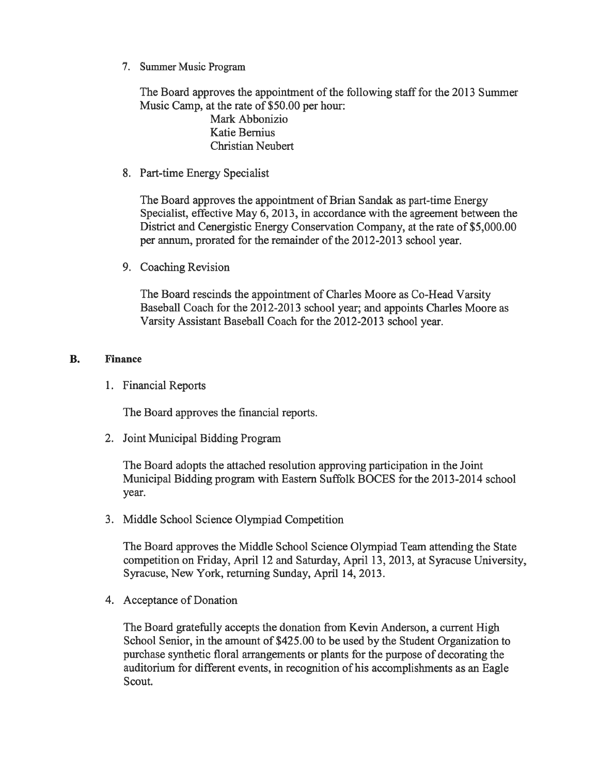7. Summer Music Program

The Board approves the appointment of the following staff for the 2013 Summer Music Camp, at the rate of \$50.00 per hour:

> Mark Abbonizio Katie Bernius Christian Neubert

8. Part-time Energy Specialist

The Board approves the appointment of Brian Sandak as part-time Energy Specialist, effective May 6, 2013, in accordance with the agreemen<sup>t</sup> between the District and Cenergistic Energy Conservation Company, at the rate of \$5,000.00 per annum, prorated for the remainder of the 2012-2013 school year.

9. Coaching Revision

The Board rescinds the appointment of Charles Moore as Co-Head Varsity Baseball Coach for the 2012-2013 school year; and appoints Charles Moore as Varsity Assistant Baseball Coach for the 2012-2013 school year.

## B. Finance

1. Financial Reports

The Board approves the financial reports.

2. Joint Municipal Bidding Program

The Board adopts the attached resolution approving participation in the Joint Municipal Bidding program with Eastern Suffolk BOCES for the 2013-2014 school year.

3. Middle School Science Olympiad Competition

The Board approves the Middle School Science Olympiad Team attending the State competition on Friday, April 12 and Saturday, April 13, 2013, at Syracuse University, Syracuse, New York, returning Sunday, April 14, 2013.

4. Acceptance of Donation

The Board gratefully accepts the donation from Kevin Anderson, <sup>a</sup> current High School Senior, in the amount of \$425.00 to be used by the Student Organization to purchase synthetic floral arrangements or plants for the purpose of decorating the auditorium for different events, in recognition of his accomplishments as an Eagle Scout.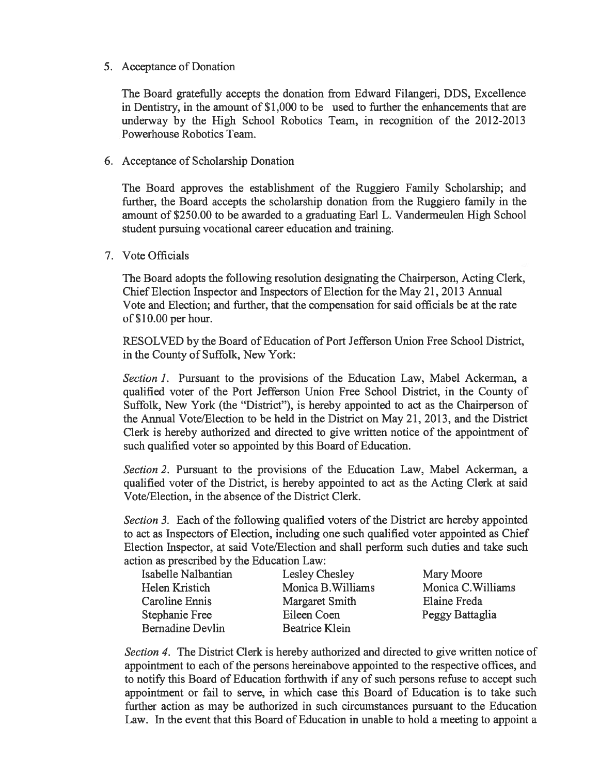### 5. Acceptance of Donation

The Board gratefully accepts the donation from Edward Filangeri, DDS, Excellence in Dentistry, in the amount of \$1,000 to be used to further the enhancements that are underway by the High School Robotics Team, in recognition of the 2012-2013 Powerhouse Robotics Team.

## 6. Acceptance of Scholarship Donation

The Board approves the establishment of the Ruggiero Family Scholarship; and further, the Board accepts the scholarship donation from the Ruggiero family in the amount of \$250.00 to be awarded to <sup>a</sup> graduating Earl L. Vandermeulen High School student pursuing vocational career education and training.

### 7. Vote Officials

The Board adopts the following resolution designating the Chairperson, Acting Clerk, Chief Election Inspector and Inspectors of Election for the May 21, 2013 Annual Vote and Election; and further, that the compensation for said officials be at the rate of \$10.00 per hour.

RESOLVED by the Board of Education of Port Jefferson Union Free School District, in the County of Suffolk, New York:

Section 1. Pursuant to the provisions of the Education Law, Mabel Ackerman, a qualified voter of the Port Jefferson Union Free School District, in the County of Suffolk, New York (the "District"), is hereby appointed to act as the Chairperson of the Annual Vote/Election to be held in the District on May 21, 2013, and the District Clerk is hereby authorized and directed to give written notice of the appointment of such qualified voter so appointed by this Board of Education.

Section 2. Pursuant to the provisions of the Education Law, Mabel Ackerman, a qualified voter of the District, is hereby appointed to act as the Acting Clerk at said Vote/Election, in the absence of the District Clerk.

Section 3. Each of the following qualified voters of the District are hereby appointed to act as Inspectors of Election, including one such qualified voter appointed as Chief Election Inspector, at said Vote/Election and shall perform such duties and take such action as prescribed by the Education Law:

| Isabelle Nalbantian     | Lesley Chesley        | Mary Moore         |
|-------------------------|-----------------------|--------------------|
| Helen Kristich          | Monica B. Williams    | Monica C. Williams |
| Caroline Ennis          | Margaret Smith        | Elaine Freda       |
| Stephanie Free          | Eileen Coen           | Peggy Battaglia    |
| <b>Bernadine Devlin</b> | <b>Beatrice Klein</b> |                    |

Section 4. The District Clerk is hereby authorized and directed to give written notice of appointment to each of the persons hereinabove appointed to the respective offices, and to notify this Board of Education forthwith if any of such persons refuse to accep<sup>t</sup> such appointment or fail to serve, in which case this Board of Education is to take such further action as may be authorized in such circumstances pursuan<sup>t</sup> to the Education Law. In the event that this Board of Education in unable to hold <sup>a</sup> meeting to appoint <sup>a</sup>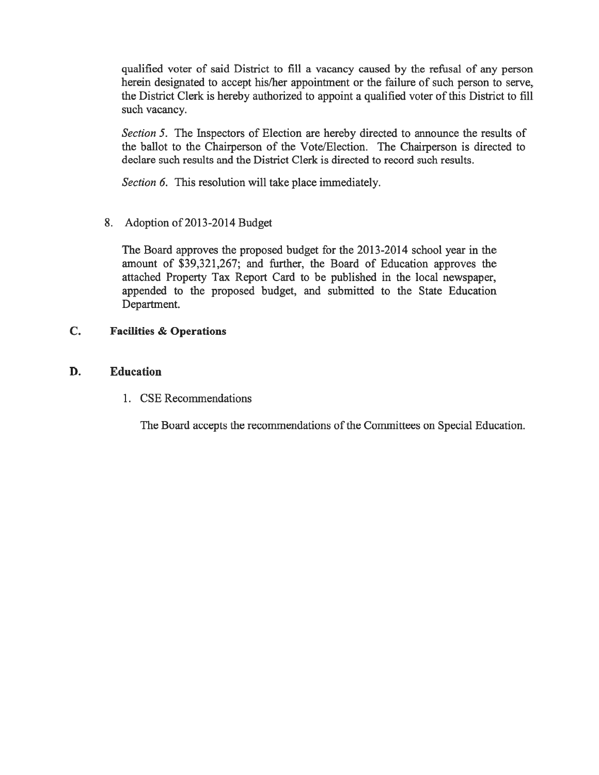qualified voter of said District to fill <sup>a</sup> vacancy caused by the refusal of any person herein designated to accep<sup>t</sup> his/her appointment or the failure of such person to serve, the District Clerk is hereby authorized to appoint <sup>a</sup> qualified voter of this District to fill such vacancy.

Section 5. The Inspectors of Election are hereby directed to announce the results of the ballot to the Chairperson of the Vote/Election. The Chairperson is directed to declare such results and the District Clerk is directed to record such results.

Section 6. This resolution will take place immediately.

8. Adoption of 2013-2014 Budget

The Board approves the proposed budget for the 2013-2014 school year in the amount of \$39,321,267; and further, the Board of Education approves the attached Property Tax Report Card to be published in the local newspaper, appended to the proposed budget, and submitted to the State Education Department.

# C. Facilities & Operations

# D. Education

1. CSE Recommendations

The Board accepts the recommendations of the Committees on Special Education.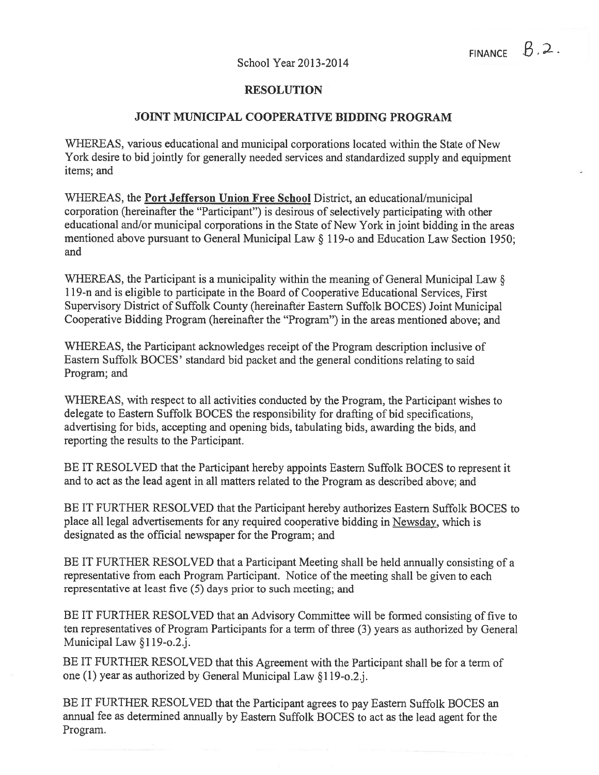#### RESOLUTION

### JOINT MUNICIPAL COOPERATIVE BIDDING PROGRAM

WHEREAS, various educational and municipal corporations located within the State of New York desire to bid jointly for generally needed services and standardized supply and equipment items; and

WHEREAS, the **Port Jefferson Union Free School** District, an educational/municipal corporation (hereinafter the "Participant") is desirous of selectively participating with other educational and/or municipal corporations in the State of New York in joint bidding in the areas mentioned above pursuan<sup>t</sup> to General Municipal Law § 119-0 and Education Law Section 1950; and

WHEREAS, the Participant is <sup>a</sup> municipality within the meaning of General Municipal Law § 119-n and is eligible to participate in the Board of Cooperative Educational Services, First Supervisory District of Suffolk County (hereinafter Eastern Suffolk BOCES) Joint Municipal Cooperative Bidding Program (hereinafter the "Program") in the areas mentioned above; and

WHEREAS, the Participant acknowledges receipt of the Program description inclusive of Eastern Suffolk BOCES' standard bid packet and the general conditions relating to said Program; and

WHEREAS, with respec<sup>t</sup> to all activities conducted by the Program, the Participant wishes to delegate to Eastern Suffolk BOCES the responsibility for drafting of bid specifications, advertising for bids, accepting and opening bids, tabulating bids, awarding the bids, and reporting the results to the Participant.

BE IT RESOLVED that the Participant hereby appoints Eastern Suffolk BOCES to represen<sup>t</sup> it and to act as the lead agen<sup>t</sup> in all matters related to the Program as described above; and

BE IT FURTHER RESOLVED that the Participant hereby authorizes Eastern Suffolk BOCES to place all legal advertisements for any required cooperative bidding in Newsday, which is designated as the official newspaper for the Program; and

BE IT FURTHER RESOLVED that <sup>a</sup> Participant Meeting shall be held annually consisting of <sup>a</sup> representative from each Program Participant. Notice of the meeting shall be given to each representative at least five (5) days prior to such meeting; and

BE IT FURTHER RESOLVED that an Advisory Committee will be formed consisting of five to ten representatives of Program Participants for <sup>a</sup> term of three (3) years as authorized by General Municipal Law §119-o.2.j.

BE IT FURTHER RESOLVED that this Agreement with the Participant shall be for <sup>a</sup> term of one (1) year as authorized by General Municipal Law §119-o.2.j.

BE IT FURTHER RESOLVED that the Participant agrees to pay Eastern Suffolk BOCES an annual fee as determined annually by Eastern Suffolk BOCES to act as the lead agen<sup>t</sup> for the Program.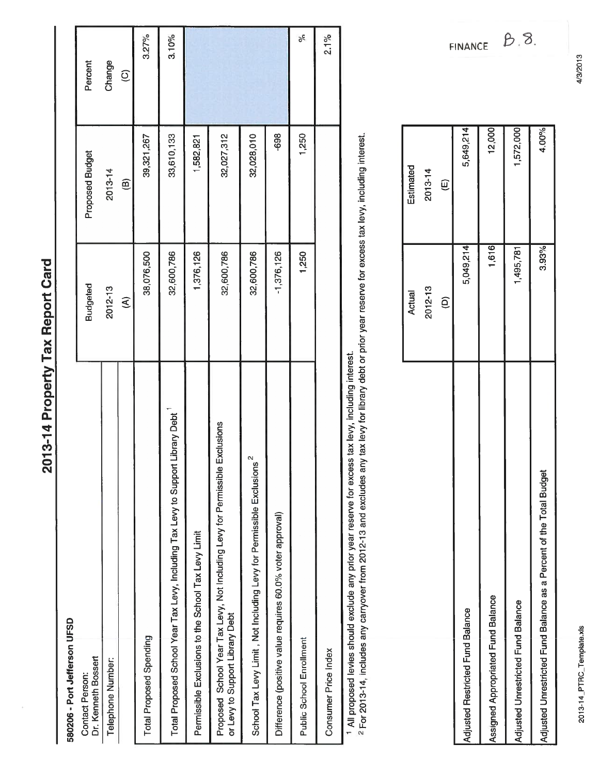| ć                           |
|-----------------------------|
|                             |
|                             |
|                             |
| í                           |
|                             |
| ſ<br><b>Service Service</b> |
|                             |
|                             |
|                             |
| l<br>I                      |
|                             |
| h<br>1                      |
|                             |
|                             |
|                             |
|                             |
|                             |
|                             |
|                             |
|                             |
|                             |
| ı                           |
|                             |
|                             |
|                             |
| ì                           |

# 580206 - Port Jefferson UFSD 580206 - Port Jefferson LJFSD

| <b>DONEY IS NOT WELFARE</b>                                                                                        |                         |                        |                         |
|--------------------------------------------------------------------------------------------------------------------|-------------------------|------------------------|-------------------------|
| Dr. Kenneth Bossert<br>Contact Person:                                                                             | <b>Budgeted</b>         | <b>Proposed Budget</b> | Percent                 |
| <b>Telephone Number:</b>                                                                                           | 2012-13                 | 2013-14                | Change                  |
|                                                                                                                    | $\widehat{\mathcal{E}}$ | $\widehat{\mathbf{e}}$ | $\widehat{\mathcal{Q}}$ |
| Total Proposed Spending                                                                                            | 38,076,500              | 39,321,267             | 3.27%                   |
| Total Proposed School Year Tax Levy, Including Tax Levy to Support Library Debt                                    | 32,600,786              | 33,610,133             | 3.10%                   |
| Permissible Exclusions to the School Tax Levy Limit                                                                | 1,376,126               | 1,582,821              |                         |
| Exclusions<br>Proposed School Year Tax Levy, Not Including Levy for Permissible<br>or Levy to Support Library Debt | 32,600,786              | 32,027,312             |                         |
| School Tax Levy Limit, Not Including Levy for Permissible Exclusions <sup>2</sup>                                  | 32,600,786              | 32,028,010             |                         |
| Difference (positive value requires 60.0% voter approval)                                                          | $-1,376,126$            | -698                   |                         |
| <b>Public School Enrollment</b>                                                                                    | 1,250                   | 1,250                  | %                       |
| Consumer Price Index                                                                                               |                         |                        | 2.1%                    |
|                                                                                                                    |                         |                        |                         |

1 All proposed levies should exclude any prior year reserve for excess tax levy, including interest.

<sup>1</sup> All proposed levies should exclude any prior year reserve for excess tax levy, including interest.<br><sup>2</sup> For 2013-14, includes any carryover from 2012-13 and excludes any tax levy for library debt or prior year reserve f 2 For 2013-14, includes any carryover from 2012-13 and excludes any tax levy for library debt or prior year reserve for excess tax levy, including interest.

|                                                                     | <b>Actual</b> | Estimated      |
|---------------------------------------------------------------------|---------------|----------------|
|                                                                     | 2012-13       | 2013-14        |
|                                                                     | $\widehat{e}$ | $\overline{E}$ |
| Adjusted Restricted Fund Balance                                    | 5,049,214     | 5,649,214      |
| Assigned Appropriated Fund Balance                                  | 1,616         | 12,000         |
| Adjusted Unrestricted Fund Balance                                  | 1,495,781     | 1,572,000      |
| Adjusted Unrestricted Fund Balance as a Percent of the Total Budget | 3.93%         | 4.00%          |
|                                                                     |               |                |

 $B_18$ **FINANCE** 

4/3/2013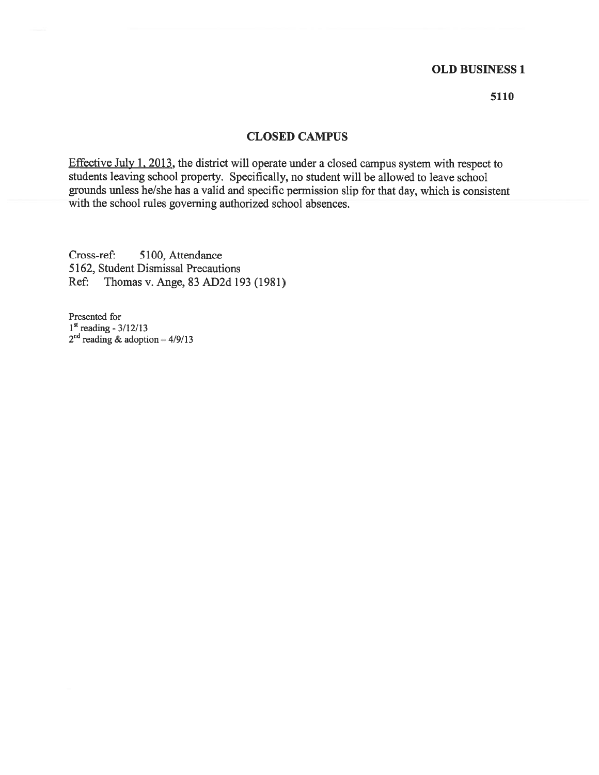## OLD BUSINESS 1

5110

#### CLOSED CAMPUS

Effective July 1, 2013, the district will operate under <sup>a</sup> closed campus system with respec<sup>t</sup> to students leaving school property. Specifically, no student will be allowed to leave school grounds unless he/she has <sup>a</sup> valid and specific permission slip for that day, which is consistent with the school rules governing authorized school absences.

Cross-ref: 5100, Attendance 5162, Student Dismissal Precautions Ref: Thomas v. Ange, 83 AD2d 193 (1981)

Presented for  $1<sup>st</sup>$  reading - 3/12/13  $2^{na}$  reading & adoption  $-4/9/13$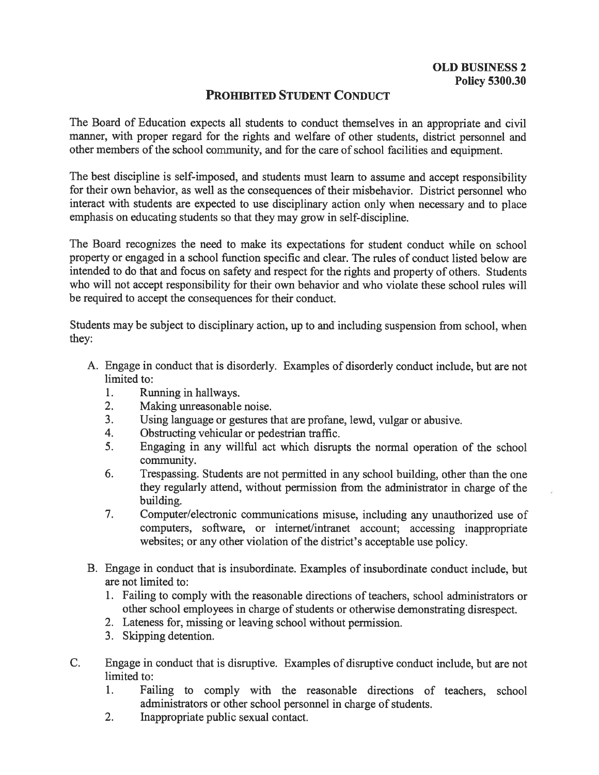# PROHIBITED STUDENT CONDUCT

The Board of Education expects all students to conduct themselves in an appropriate and civil manner, with proper regard for the rights and welfare of other students, district personnel and other members of the school community, and for the care of school facilities and equipment.

The best discipline is self-imposed, and students must learn to assume and accep<sup>t</sup> responsibility for their own behavior, as well as the consequences of their misbehavior. District personne<sup>l</sup> who interact with students are expected to use disciplinary action only when necessary and to <sup>p</sup>lace emphasis on educating students so that they may grow in self-discipline.

The Board recognizes the need to make its expectations for student conduct while on school property or engaged in <sup>a</sup> school function specific and clear. The rules of conduct listed below are intended to do that and focus on safety and respec<sup>t</sup> for the rights and property of others. Students who will not accep<sup>t</sup> responsibility for their own behavior and who violate these school rules will be required to accep<sup>t</sup> the consequences for their conduct.

Students may be subject to disciplinary action, up to and including suspension from school, when they:

- A. Engage in conduct that is disorderly. Examples of disorderly conduct include, but are not limited to:
	- 1. Running in hallways.
	- 2. Making unreasonable noise.
	- 3. Using language or gestures that are profane, lewd, vulgar or abusive.
	- 4. Obstructing vehicular or pedestrian traffic.
	- 5. Engaging in any willful act which disrupts the normal operation of the school community.
	- 6. Trespassing. Students are not permitted in any school building, other than the one they regularly attend, without permission from the administrator in charge of the building.
	- 7. Computer/electronic communications misuse, including any unauthorized use of computers, software, or internet/intranet account; accessing inappropriate websites; or any other violation of the district's acceptable use policy.
- B. Engage in conduct that is insubordinate. Examples of insubordinate conduct include, but are not limited to:
	- 1. Failing to comply with the reasonable directions of teachers, school administrators or other school employees in charge of students or otherwise demonstrating disrespect.
	- 2. Lateness for, missing or leaving school without permission.
	- 3. Skipping detention.
- C. Engage in conduct that is disruptive. Examples of disruptive conduct include, but are not limited to:
	- 1. Failing to comply with the reasonable directions of teachers, school administrators or other school personnel in charge of students.
	- 2. Inappropriate public sexual contact.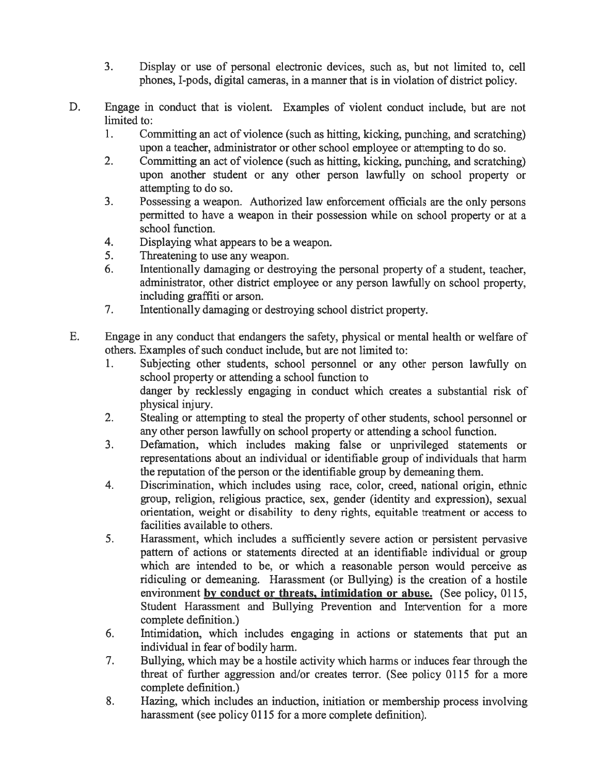- 3. Display or use of personal electronic devices, such as, but not limited to, cell phones, I-pods, digital cameras, in <sup>a</sup> manner that is in violation of district policy.
- D. Engage in conduct that is violent. Examples of violent conduct include, but are not limited to:
	- 1. Committing an act of violence (such as hitting, kicking, punching, and scratching) upon <sup>a</sup> teacher, administrator or other school employee or attempting to do so.
	- 2. Committing an act of violence (such as hitting, kicking, punching, and scratching) upon another student or any other person lawfully on school property or attempting to do so.
	- 3. Possessing <sup>a</sup> weapon. Authorized law enforcement officials are the only persons permitted to have <sup>a</sup> weapon in their possession while on school property or at <sup>a</sup> school function.
	- 4. Displaying what appears to be <sup>a</sup> weapon.
	- 5. Threatening to use any weapon.
	- 6. Intentionally damaging or destroying the personal property of <sup>a</sup> student, teacher, administrator, other district employee or any person lawfully on school property, including graffiti or arson.
	- 7. Intentionally damaging or destroying school district property.
- E. Engage in any conduct that endangers the safety, physical or mental health or welfare of others. Examples of such conduct include, but are not limited to:
	- 1. Subjecting other students, school personnel or any other person lawfully on school property or attending <sup>a</sup> school function to danger by recklessly engaging in conduct which creates <sup>a</sup> substantial risk of physical injury.
	- 2. Stealing or attempting to steal the property of other students, school personnel or any other person lawfully on school property or attending <sup>a</sup> school function.
	- 3. Defamation, which includes making false or unprivileged statements or representations about an individual or identifiable group of individuals that harm the reputation of the person or the identifiable group by demeaning them.
	- 4. Discrimination, which includes using race, color, creed, national origin, ethnic group, religion, religious practice, sex, gender (identity and expression), sexual orientation, weight or disability to deny rights, equitable treatment or access to facilities available to others.
	- 5. Harassment, which includes <sup>a</sup> sufficiently severe action or persistent pervasive pattern of actions or statements directed at an identifiable individual or group which are intended to be, or which <sup>a</sup> reasonable person would perceive as ridiculing or demeaning. Harassment (or Bullying) is the creation of <sup>a</sup> hostile environment by conduct or threats, intimidation or abuse. (See policy, 0115, Student Harassment and Bullying Prevention and Intervention for <sup>a</sup> more complete definition.)
	- 6. Intimidation, which includes engaging in actions or statements that pu<sup>t</sup> an individual in fear of bodily harm.
	- 7. Bullying, which may be <sup>a</sup> hostile activity which harms or induces fear through the threat of further aggression and/or creates terror. (See policy 0115 for <sup>a</sup> more complete definition.)
	- 8. Hazing, which includes an induction, initiation or membership process involving harassment (see policy 0115 for a more complete definition).